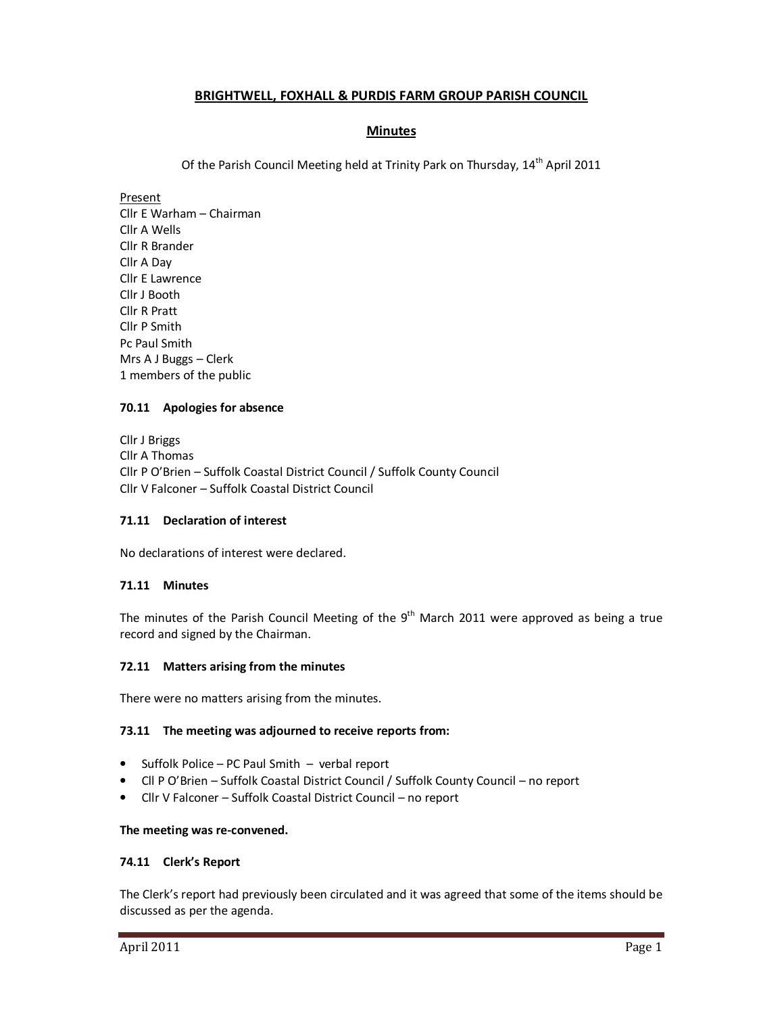# **BRIGHTWELL, FOXHALL & PURDIS FARM GROUP PARISH COUNCIL**

# **Minutes**

Of the Parish Council Meeting held at Trinity Park on Thursday, 14<sup>th</sup> April 2011

Present

Cllr E Warham – Chairman Cllr A Wells Cllr R Brander Cllr A Day Cllr E Lawrence Cllr J Booth Cllr R Pratt Cllr P Smith Pc Paul Smith Mrs A J Buggs – Clerk 1 members of the public

# **70.11 Apologies for absence**

Cllr J Briggs Cllr A Thomas Cllr P O'Brien – Suffolk Coastal District Council / Suffolk County Council Cllr V Falconer – Suffolk Coastal District Council

# **71.11 Declaration of interest**

No declarations of interest were declared.

# **71.11 Minutes**

The minutes of the Parish Council Meeting of the  $9<sup>th</sup>$  March 2011 were approved as being a true record and signed by the Chairman.

### **72.11 Matters arising from the minutes**

There were no matters arising from the minutes.

### **73.11 The meeting was adjourned to receive reports from:**

- Suffolk Police PC Paul Smith verbal report
- Cll P O'Brien Suffolk Coastal District Council / Suffolk County Council no report
- Cllr V Falconer Suffolk Coastal District Council no report

### **The meeting was re-convened.**

### **74.11 Clerk's Report**

The Clerk's report had previously been circulated and it was agreed that some of the items should be discussed as per the agenda.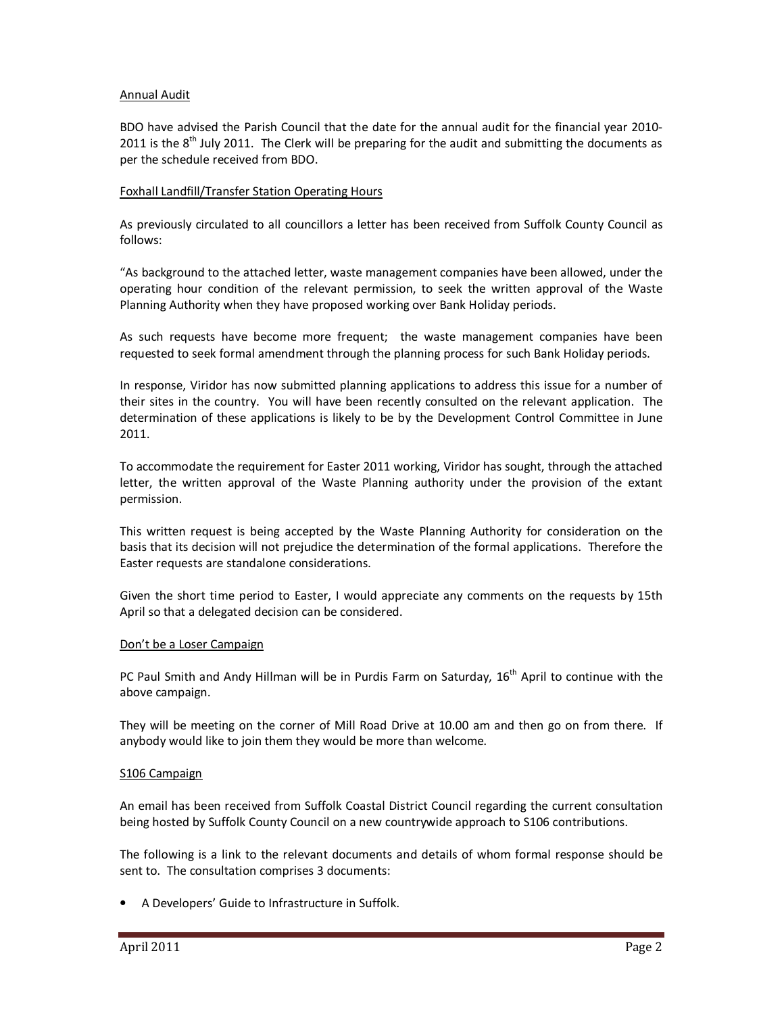## Annual Audit

BDO have advised the Parish Council that the date for the annual audit for the financial year 2010- 2011 is the  $8<sup>th</sup>$  July 2011. The Clerk will be preparing for the audit and submitting the documents as per the schedule received from BDO.

### Foxhall Landfill/Transfer Station Operating Hours

As previously circulated to all councillors a letter has been received from Suffolk County Council as follows:

"As background to the attached letter, waste management companies have been allowed, under the operating hour condition of the relevant permission, to seek the written approval of the Waste Planning Authority when they have proposed working over Bank Holiday periods.

As such requests have become more frequent; the waste management companies have been requested to seek formal amendment through the planning process for such Bank Holiday periods.

In response, Viridor has now submitted planning applications to address this issue for a number of their sites in the country. You will have been recently consulted on the relevant application. The determination of these applications is likely to be by the Development Control Committee in June 2011.

To accommodate the requirement for Easter 2011 working, Viridor has sought, through the attached letter, the written approval of the Waste Planning authority under the provision of the extant permission.

This written request is being accepted by the Waste Planning Authority for consideration on the basis that its decision will not prejudice the determination of the formal applications. Therefore the Easter requests are standalone considerations.

Given the short time period to Easter, I would appreciate any comments on the requests by 15th April so that a delegated decision can be considered.

### Don't be a Loser Campaign

PC Paul Smith and Andy Hillman will be in Purdis Farm on Saturday,  $16<sup>th</sup>$  April to continue with the above campaign.

They will be meeting on the corner of Mill Road Drive at 10.00 am and then go on from there. If anybody would like to join them they would be more than welcome.

### S106 Campaign

An email has been received from Suffolk Coastal District Council regarding the current consultation being hosted by Suffolk County Council on a new countrywide approach to S106 contributions.

The following is a link to the relevant documents and details of whom formal response should be sent to. The consultation comprises 3 documents:

• A Developers' Guide to Infrastructure in Suffolk.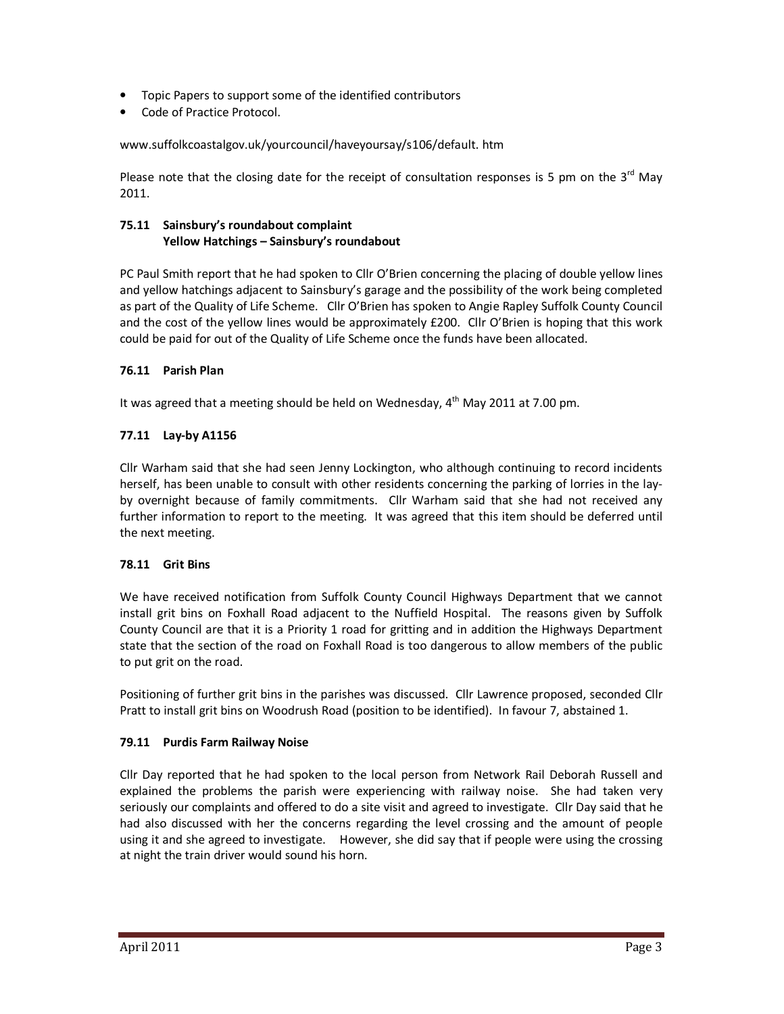- Topic Papers to support some of the identified contributors
- Code of Practice Protocol.

www.suffolkcoastalgov.uk/yourcouncil/haveyoursay/s106/default. htm

Please note that the closing date for the receipt of consultation responses is 5 pm on the  $3<sup>rd</sup>$  May 2011.

# **75.11 Sainsbury's roundabout complaint Yellow Hatchings – Sainsbury's roundabout**

PC Paul Smith report that he had spoken to Cllr O'Brien concerning the placing of double yellow lines and yellow hatchings adjacent to Sainsbury's garage and the possibility of the work being completed as part of the Quality of Life Scheme. Cllr O'Brien has spoken to Angie Rapley Suffolk County Council and the cost of the yellow lines would be approximately £200. Cllr O'Brien is hoping that this work could be paid for out of the Quality of Life Scheme once the funds have been allocated.

# **76.11 Parish Plan**

It was agreed that a meeting should be held on Wednesday,  $4<sup>th</sup>$  May 2011 at 7.00 pm.

# **77.11 Lay-by A1156**

Cllr Warham said that she had seen Jenny Lockington, who although continuing to record incidents herself, has been unable to consult with other residents concerning the parking of lorries in the layby overnight because of family commitments. Cllr Warham said that she had not received any further information to report to the meeting. It was agreed that this item should be deferred until the next meeting.

# **78.11 Grit Bins**

We have received notification from Suffolk County Council Highways Department that we cannot install grit bins on Foxhall Road adjacent to the Nuffield Hospital. The reasons given by Suffolk County Council are that it is a Priority 1 road for gritting and in addition the Highways Department state that the section of the road on Foxhall Road is too dangerous to allow members of the public to put grit on the road.

Positioning of further grit bins in the parishes was discussed. Cllr Lawrence proposed, seconded Cllr Pratt to install grit bins on Woodrush Road (position to be identified). In favour 7, abstained 1.

# **79.11 Purdis Farm Railway Noise**

Cllr Day reported that he had spoken to the local person from Network Rail Deborah Russell and explained the problems the parish were experiencing with railway noise. She had taken very seriously our complaints and offered to do a site visit and agreed to investigate. Cllr Day said that he had also discussed with her the concerns regarding the level crossing and the amount of people using it and she agreed to investigate. However, she did say that if people were using the crossing at night the train driver would sound his horn.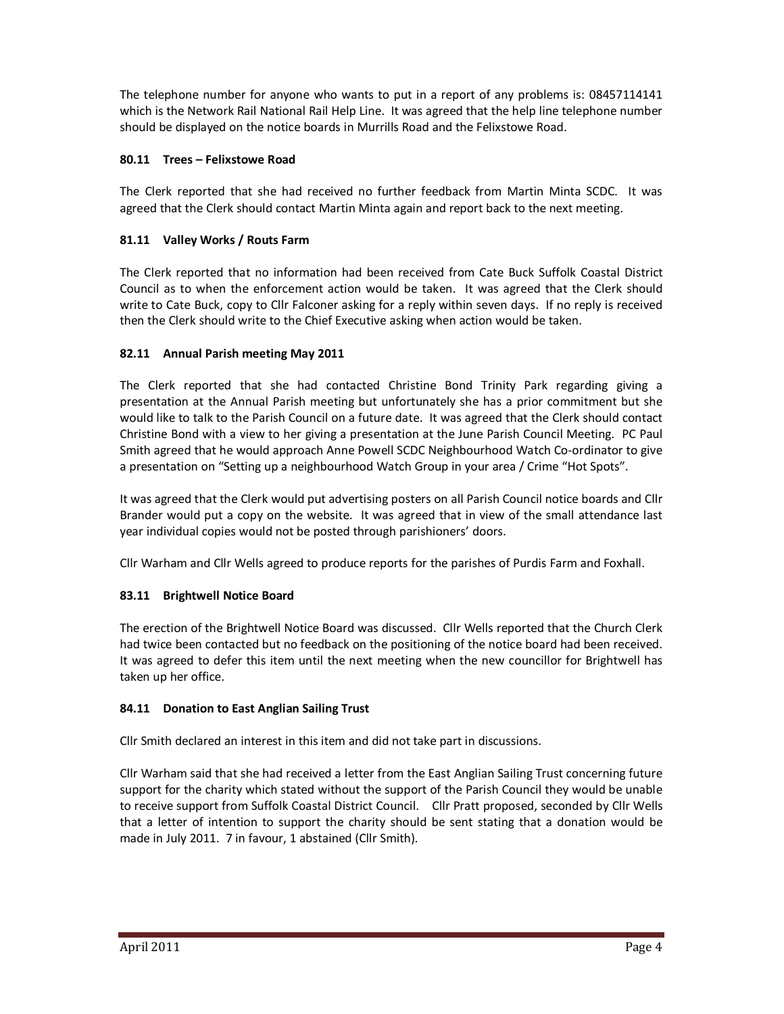The telephone number for anyone who wants to put in a report of any problems is: 08457114141 which is the Network Rail National Rail Help Line. It was agreed that the help line telephone number should be displayed on the notice boards in Murrills Road and the Felixstowe Road.

# **80.11 Trees – Felixstowe Road**

The Clerk reported that she had received no further feedback from Martin Minta SCDC. It was agreed that the Clerk should contact Martin Minta again and report back to the next meeting.

# **81.11 Valley Works / Routs Farm**

The Clerk reported that no information had been received from Cate Buck Suffolk Coastal District Council as to when the enforcement action would be taken. It was agreed that the Clerk should write to Cate Buck, copy to Cllr Falconer asking for a reply within seven days. If no reply is received then the Clerk should write to the Chief Executive asking when action would be taken.

# **82.11 Annual Parish meeting May 2011**

The Clerk reported that she had contacted Christine Bond Trinity Park regarding giving a presentation at the Annual Parish meeting but unfortunately she has a prior commitment but she would like to talk to the Parish Council on a future date. It was agreed that the Clerk should contact Christine Bond with a view to her giving a presentation at the June Parish Council Meeting. PC Paul Smith agreed that he would approach Anne Powell SCDC Neighbourhood Watch Co-ordinator to give a presentation on "Setting up a neighbourhood Watch Group in your area / Crime "Hot Spots".

It was agreed that the Clerk would put advertising posters on all Parish Council notice boards and Cllr Brander would put a copy on the website. It was agreed that in view of the small attendance last year individual copies would not be posted through parishioners' doors.

Cllr Warham and Cllr Wells agreed to produce reports for the parishes of Purdis Farm and Foxhall.

# **83.11 Brightwell Notice Board**

The erection of the Brightwell Notice Board was discussed. Cllr Wells reported that the Church Clerk had twice been contacted but no feedback on the positioning of the notice board had been received. It was agreed to defer this item until the next meeting when the new councillor for Brightwell has taken up her office.

# **84.11 Donation to East Anglian Sailing Trust**

Cllr Smith declared an interest in this item and did not take part in discussions.

Cllr Warham said that she had received a letter from the East Anglian Sailing Trust concerning future support for the charity which stated without the support of the Parish Council they would be unable to receive support from Suffolk Coastal District Council. Cllr Pratt proposed, seconded by Cllr Wells that a letter of intention to support the charity should be sent stating that a donation would be made in July 2011. 7 in favour, 1 abstained (Cllr Smith).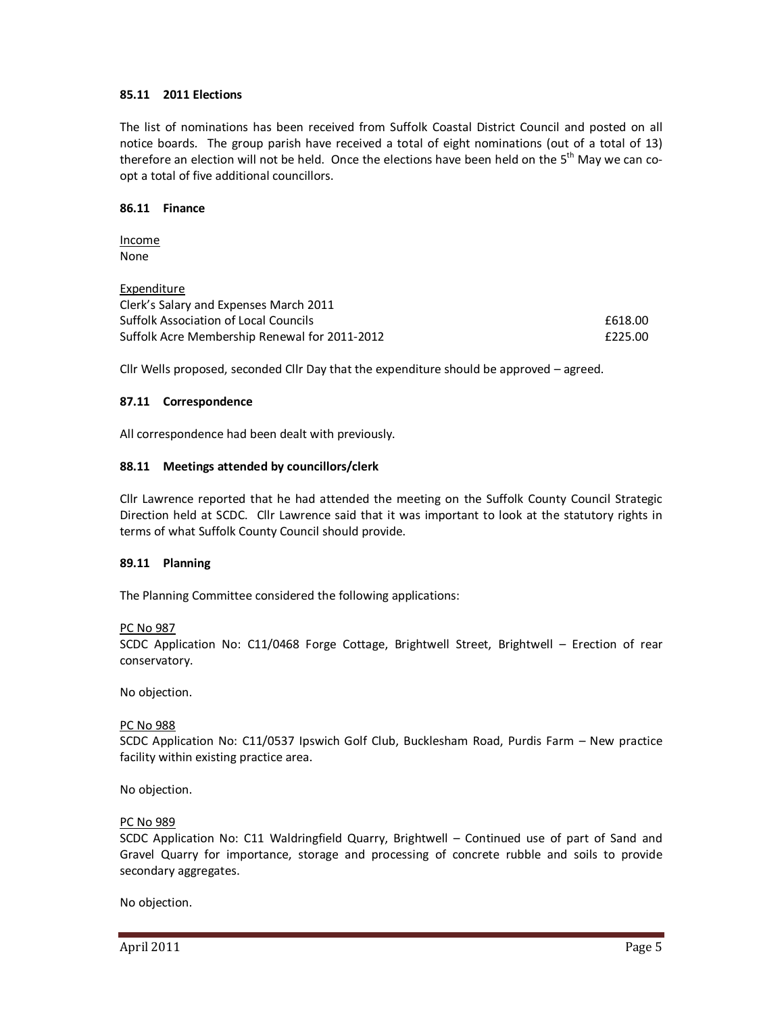## **85.11 2011 Elections**

The list of nominations has been received from Suffolk Coastal District Council and posted on all notice boards. The group parish have received a total of eight nominations (out of a total of 13) therefore an election will not be held. Once the elections have been held on the  $5<sup>th</sup>$  May we can coopt a total of five additional councillors.

### **86.11 Finance**

Income None

Expenditure Clerk's Salary and Expenses March 2011 Suffolk Association of Local Councils **EG18.00 EG18.00** Suffolk Acre Membership Renewal for 2011-2012 **EXAMPLE 12011** 

Cllr Wells proposed, seconded Cllr Day that the expenditure should be approved – agreed.

## **87.11 Correspondence**

All correspondence had been dealt with previously.

## **88.11 Meetings attended by councillors/clerk**

Cllr Lawrence reported that he had attended the meeting on the Suffolk County Council Strategic Direction held at SCDC. Cllr Lawrence said that it was important to look at the statutory rights in terms of what Suffolk County Council should provide.

### **89.11 Planning**

The Planning Committee considered the following applications:

### PC No 987

SCDC Application No: C11/0468 Forge Cottage, Brightwell Street, Brightwell – Erection of rear conservatory.

No objection.

### PC No 988

SCDC Application No: C11/0537 Ipswich Golf Club, Bucklesham Road, Purdis Farm – New practice facility within existing practice area.

No objection.

### PC No 989

SCDC Application No: C11 Waldringfield Quarry, Brightwell – Continued use of part of Sand and Gravel Quarry for importance, storage and processing of concrete rubble and soils to provide secondary aggregates.

No objection.